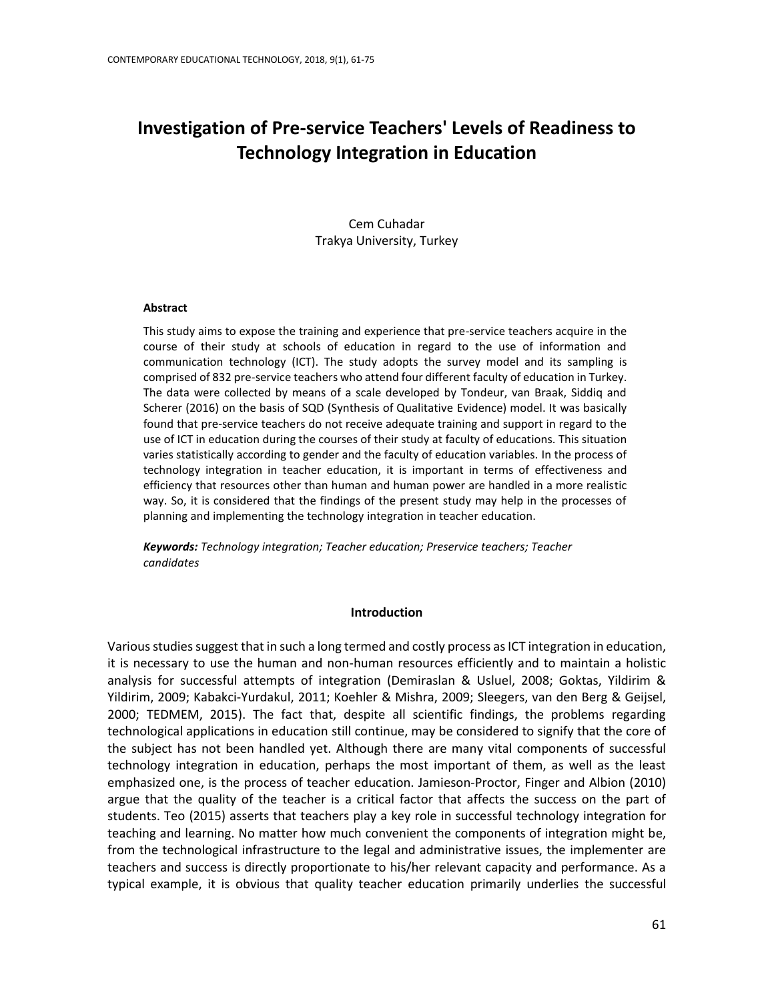# **Investigation of Pre-service Teachers' Levels of Readiness to Technology Integration in Education**

Cem Cuhadar Trakya University, Turkey

## **Abstract**

This study aims to expose the training and experience that pre-service teachers acquire in the course of their study at schools of education in regard to the use of information and communication technology (ICT). The study adopts the survey model and its sampling is comprised of 832 pre-service teachers who attend four different faculty of education in Turkey. The data were collected by means of a scale developed by Tondeur, van Braak, Siddiq and Scherer (2016) on the basis of SQD (Synthesis of Qualitative Evidence) model. It was basically found that pre-service teachers do not receive adequate training and support in regard to the use of ICT in education during the courses of their study at faculty of educations. This situation varies statistically according to gender and the faculty of education variables. In the process of technology integration in teacher education, it is important in terms of effectiveness and efficiency that resources other than human and human power are handled in a more realistic way. So, it is considered that the findings of the present study may help in the processes of planning and implementing the technology integration in teacher education.

*Keywords: Technology integration; Teacher education; Preservice teachers; Teacher candidates*

#### **Introduction**

Various studies suggest that in such a long termed and costly process as ICT integration in education, it is necessary to use the human and non-human resources efficiently and to maintain a holistic analysis for successful attempts of integration (Demiraslan & Usluel, 2008; Goktas, Yildirim & Yildirim, 2009; Kabakci-Yurdakul, 2011; Koehler & Mishra, 2009; Sleegers, van den Berg & Geijsel, 2000; TEDMEM, 2015). The fact that, despite all scientific findings, the problems regarding technological applications in education still continue, may be considered to signify that the core of the subject has not been handled yet. Although there are many vital components of successful technology integration in education, perhaps the most important of them, as well as the least emphasized one, is the process of teacher education. Jamieson-Proctor, Finger and Albion (2010) argue that the quality of the teacher is a critical factor that affects the success on the part of students. Teo (2015) asserts that teachers play a key role in successful technology integration for teaching and learning. No matter how much convenient the components of integration might be, from the technological infrastructure to the legal and administrative issues, the implementer are teachers and success is directly proportionate to his/her relevant capacity and performance. As a typical example, it is obvious that quality teacher education primarily underlies the successful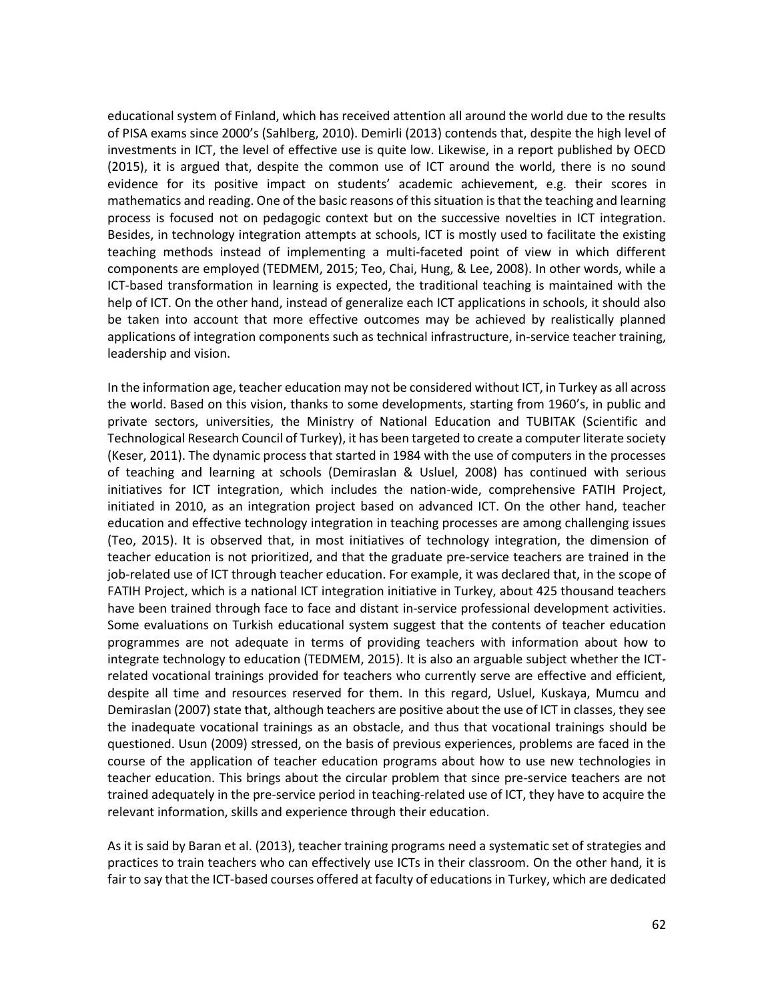educational system of Finland, which has received attention all around the world due to the results of PISA exams since 2000's (Sahlberg, 2010). Demirli (2013) contends that, despite the high level of investments in ICT, the level of effective use is quite low. Likewise, in a report published by OECD (2015), it is argued that, despite the common use of ICT around the world, there is no sound evidence for its positive impact on students' academic achievement, e.g. their scores in mathematics and reading. One of the basic reasons of this situation is that the teaching and learning process is focused not on pedagogic context but on the successive novelties in ICT integration. Besides, in technology integration attempts at schools, ICT is mostly used to facilitate the existing teaching methods instead of implementing a multi-faceted point of view in which different components are employed (TEDMEM, 2015; Teo, Chai, Hung, & Lee, 2008). In other words, while a ICT-based transformation in learning is expected, the traditional teaching is maintained with the help of ICT. On the other hand, instead of generalize each ICT applications in schools, it should also be taken into account that more effective outcomes may be achieved by realistically planned applications of integration components such as technical infrastructure, in-service teacher training, leadership and vision.

In the information age, teacher education may not be considered without ICT, in Turkey as all across the world. Based on this vision, thanks to some developments, starting from 1960's, in public and private sectors, universities, the Ministry of National Education and TUBITAK (Scientific and Technological Research Council of Turkey), it has been targeted to create a computer literate society (Keser, 2011). The dynamic process that started in 1984 with the use of computers in the processes of teaching and learning at schools (Demiraslan & Usluel, 2008) has continued with serious initiatives for ICT integration, which includes the nation-wide, comprehensive FATIH Project, initiated in 2010, as an integration project based on advanced ICT. On the other hand, teacher education and effective technology integration in teaching processes are among challenging issues (Teo, 2015). It is observed that, in most initiatives of technology integration, the dimension of teacher education is not prioritized, and that the graduate pre-service teachers are trained in the job-related use of ICT through teacher education. For example, it was declared that, in the scope of FATIH Project, which is a national ICT integration initiative in Turkey, about 425 thousand teachers have been trained through face to face and distant in-service professional development activities. Some evaluations on Turkish educational system suggest that the contents of teacher education programmes are not adequate in terms of providing teachers with information about how to integrate technology to education (TEDMEM, 2015). It is also an arguable subject whether the ICTrelated vocational trainings provided for teachers who currently serve are effective and efficient, despite all time and resources reserved for them. In this regard, Usluel, Kuskaya, Mumcu and Demiraslan (2007) state that, although teachers are positive about the use of ICT in classes, they see the inadequate vocational trainings as an obstacle, and thus that vocational trainings should be questioned. Usun (2009) stressed, on the basis of previous experiences, problems are faced in the course of the application of teacher education programs about how to use new technologies in teacher education. This brings about the circular problem that since pre-service teachers are not trained adequately in the pre-service period in teaching-related use of ICT, they have to acquire the relevant information, skills and experience through their education.

As it is said by Baran et al. (2013), teacher training programs need a systematic set of strategies and practices to train teachers who can effectively use ICTs in their classroom. On the other hand, it is fair to say that the ICT-based courses offered at faculty of educations in Turkey, which are dedicated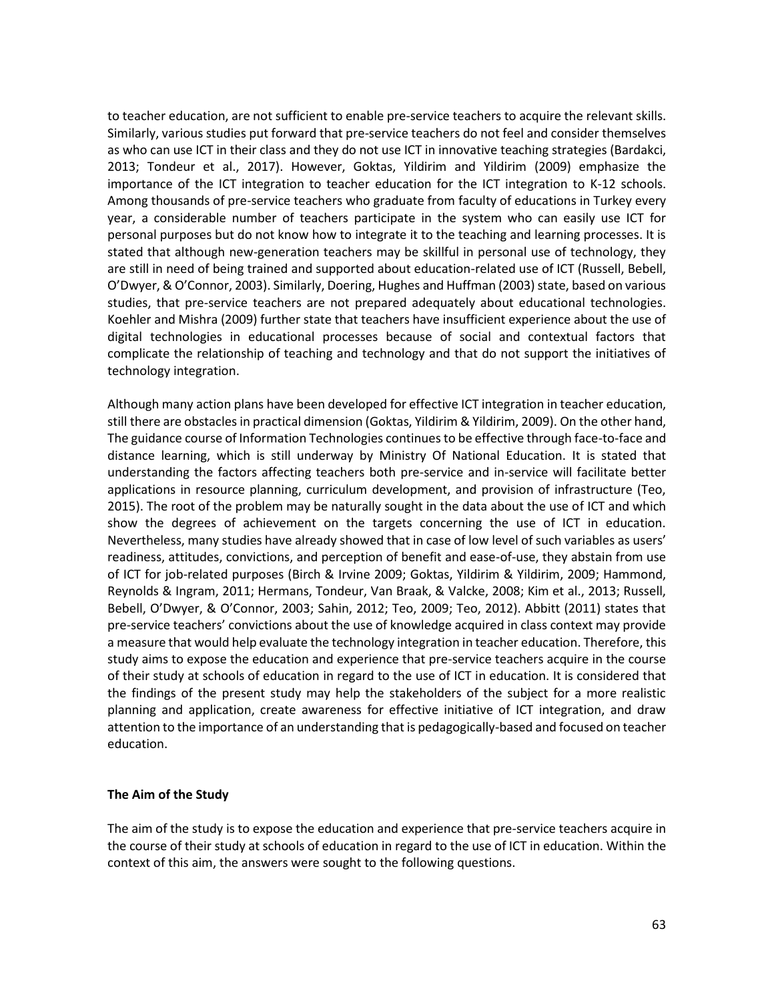to teacher education, are not sufficient to enable pre-service teachers to acquire the relevant skills. Similarly, various studies put forward that pre-service teachers do not feel and consider themselves as who can use ICT in their class and they do not use ICT in innovative teaching strategies (Bardakci, 2013; Tondeur et al., 2017). However, Goktas, Yildirim and Yildirim (2009) emphasize the importance of the ICT integration to teacher education for the ICT integration to K-12 schools. Among thousands of pre-service teachers who graduate from faculty of educations in Turkey every year, a considerable number of teachers participate in the system who can easily use ICT for personal purposes but do not know how to integrate it to the teaching and learning processes. It is stated that although new-generation teachers may be skillful in personal use of technology, they are still in need of being trained and supported about education-related use of ICT (Russell, Bebell, O'Dwyer, & O'Connor, 2003). Similarly, Doering, Hughes and Huffman (2003) state, based on various studies, that pre-service teachers are not prepared adequately about educational technologies. Koehler and Mishra (2009) further state that teachers have insufficient experience about the use of digital technologies in educational processes because of social and contextual factors that complicate the relationship of teaching and technology and that do not support the initiatives of technology integration.

Although many action plans have been developed for effective ICT integration in teacher education, still there are obstacles in practical dimension (Goktas, Yildirim & Yildirim, 2009). On the other hand, The guidance course of Information Technologies continues to be effective through face-to-face and distance learning, which is still underway by Ministry Of National Education. It is stated that understanding the factors affecting teachers both pre-service and in-service will facilitate better applications in resource planning, curriculum development, and provision of infrastructure (Teo, 2015). The root of the problem may be naturally sought in the data about the use of ICT and which show the degrees of achievement on the targets concerning the use of ICT in education. Nevertheless, many studies have already showed that in case of low level of such variables as users' readiness, attitudes, convictions, and perception of benefit and ease-of-use, they abstain from use of ICT for job-related purposes (Birch & Irvine 2009; Goktas, Yildirim & Yildirim, 2009; Hammond, Reynolds & Ingram, 2011; Hermans, Tondeur, Van Braak, & Valcke, 2008; Kim et al., 2013; Russell, Bebell, O'Dwyer, & O'Connor, 2003; Sahin, 2012; Teo, 2009; Teo, 2012). Abbitt (2011) states that pre-service teachers' convictions about the use of knowledge acquired in class context may provide a measure that would help evaluate the technology integration in teacher education. Therefore, this study aims to expose the education and experience that pre-service teachers acquire in the course of their study at schools of education in regard to the use of ICT in education. It is considered that the findings of the present study may help the stakeholders of the subject for a more realistic planning and application, create awareness for effective initiative of ICT integration, and draw attention to the importance of an understanding that is pedagogically-based and focused on teacher education.

# **The Aim of the Study**

The aim of the study is to expose the education and experience that pre-service teachers acquire in the course of their study at schools of education in regard to the use of ICT in education. Within the context of this aim, the answers were sought to the following questions.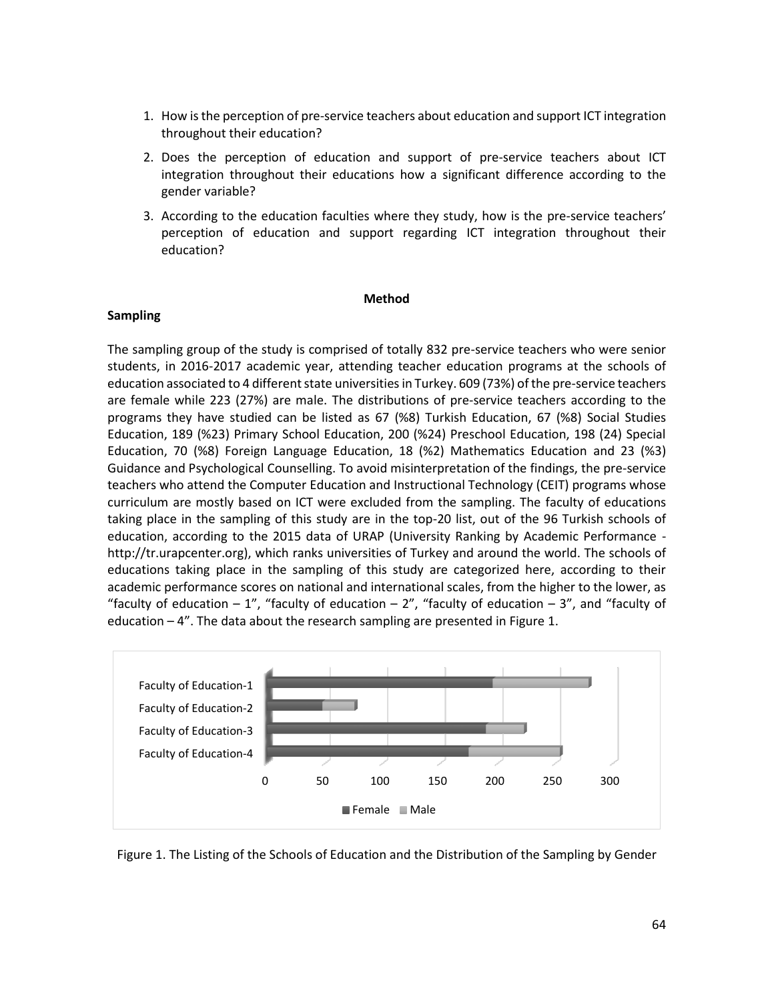- 1. How is the perception of pre-service teachers about education and support ICT integration throughout their education?
- 2. Does the perception of education and support of pre-service teachers about ICT integration throughout their educations how a significant difference according to the gender variable?
- 3. According to the education faculties where they study, how is the pre-service teachers' perception of education and support regarding ICT integration throughout their education?

#### **Method**

## **Sampling**

The sampling group of the study is comprised of totally 832 pre-service teachers who were senior students, in 2016-2017 academic year, attending teacher education programs at the schools of education associated to 4 different state universities in Turkey. 609 (73%) of the pre-service teachers are female while 223 (27%) are male. The distributions of pre-service teachers according to the programs they have studied can be listed as 67 (%8) Turkish Education, 67 (%8) Social Studies Education, 189 (%23) Primary School Education, 200 (%24) Preschool Education, 198 (24) Special Education, 70 (%8) Foreign Language Education, 18 (%2) Mathematics Education and 23 (%3) Guidance and Psychological Counselling. To avoid misinterpretation of the findings, the pre-service teachers who attend the Computer Education and Instructional Technology (CEIT) programs whose curriculum are mostly based on ICT were excluded from the sampling. The faculty of educations taking place in the sampling of this study are in the top-20 list, out of the 96 Turkish schools of education, according to the 2015 data of URAP (University Ranking by Academic Performance http://tr.urapcenter.org), which ranks universities of Turkey and around the world. The schools of educations taking place in the sampling of this study are categorized here, according to their academic performance scores on national and international scales, from the higher to the lower, as "faculty of education  $-1$ ", "faculty of education  $-2$ ", "faculty of education  $-3$ ", and "faculty of education  $-4$ ". The data about the research sampling are presented in Figure 1.



Figure 1. The Listing of the Schools of Education and the Distribution of the Sampling by Gender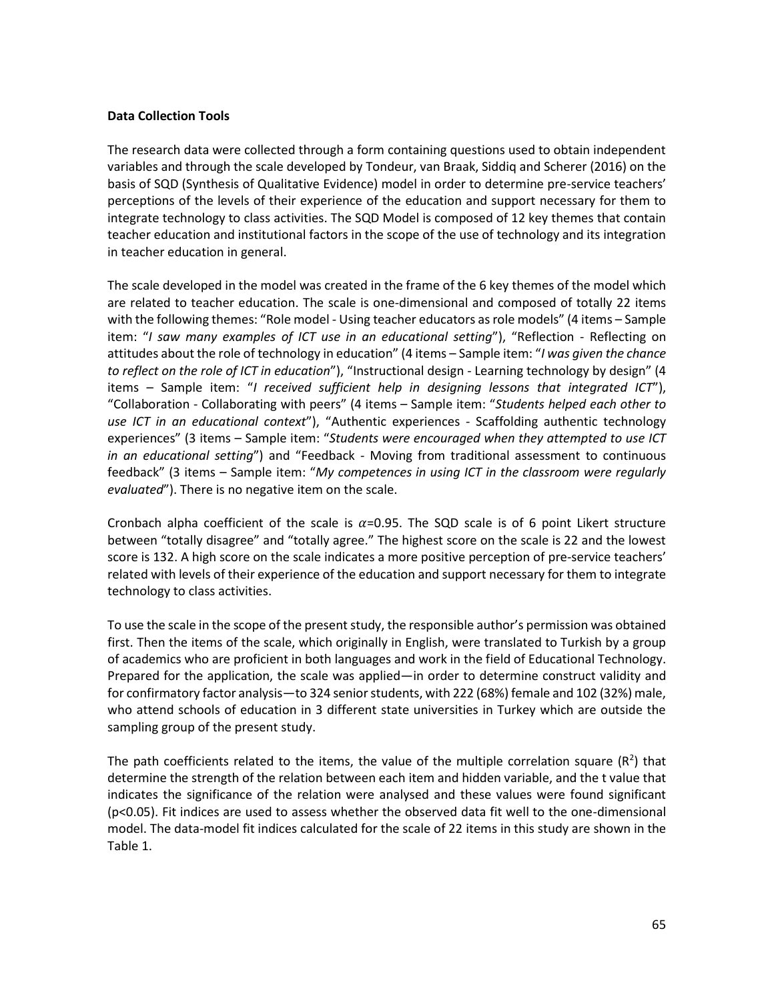## **Data Collection Tools**

The research data were collected through a form containing questions used to obtain independent variables and through the scale developed by Tondeur, van Braak, Siddiq and Scherer (2016) on the basis of SQD (Synthesis of Qualitative Evidence) model in order to determine pre-service teachers' perceptions of the levels of their experience of the education and support necessary for them to integrate technology to class activities. The SQD Model is composed of 12 key themes that contain teacher education and institutional factors in the scope of the use of technology and its integration in teacher education in general.

The scale developed in the model was created in the frame of the 6 key themes of the model which are related to teacher education. The scale is one-dimensional and composed of totally 22 items with the following themes: "Role model - Using teacher educators as role models" (4 items – Sample item: "*I saw many examples of ICT use in an educational setting*"), "Reflection - Reflecting on attitudes about the role of technology in education" (4 items – Sample item: "*I was given the chance to reflect on the role of ICT in education*"), "Instructional design - Learning technology by design" (4 items – Sample item: "*I received sufficient help in designing lessons that integrated ICT*"), "Collaboration - Collaborating with peers" (4 items – Sample item: "*Students helped each other to use ICT in an educational context*"), "Authentic experiences - Scaffolding authentic technology experiences" (3 items – Sample item: "*Students were encouraged when they attempted to use ICT in an educational setting*") and "Feedback - Moving from traditional assessment to continuous feedback" (3 items – Sample item: "*My competences in using ICT in the classroom were regularly evaluated*"). There is no negative item on the scale.

Cronbach alpha coefficient of the scale is  $\alpha$ =0.95. The SQD scale is of 6 point Likert structure between "totally disagree" and "totally agree." The highest score on the scale is 22 and the lowest score is 132. A high score on the scale indicates a more positive perception of pre-service teachers' related with levels of their experience of the education and support necessary for them to integrate technology to class activities.

To use the scale in the scope of the present study, the responsible author's permission was obtained first. Then the items of the scale, which originally in English, were translated to Turkish by a group of academics who are proficient in both languages and work in the field of Educational Technology. Prepared for the application, the scale was applied—in order to determine construct validity and for confirmatory factor analysis—to 324 senior students, with 222 (68%) female and 102 (32%) male, who attend schools of education in 3 different state universities in Turkey which are outside the sampling group of the present study.

The path coefficients related to the items, the value of the multiple correlation square  $(R^2)$  that determine the strength of the relation between each item and hidden variable, and the t value that indicates the significance of the relation were analysed and these values were found significant (p<0.05). Fit indices are used to assess whether the observed data fit well to the one-dimensional model. The data-model fit indices calculated for the scale of 22 items in this study are shown in the Table 1.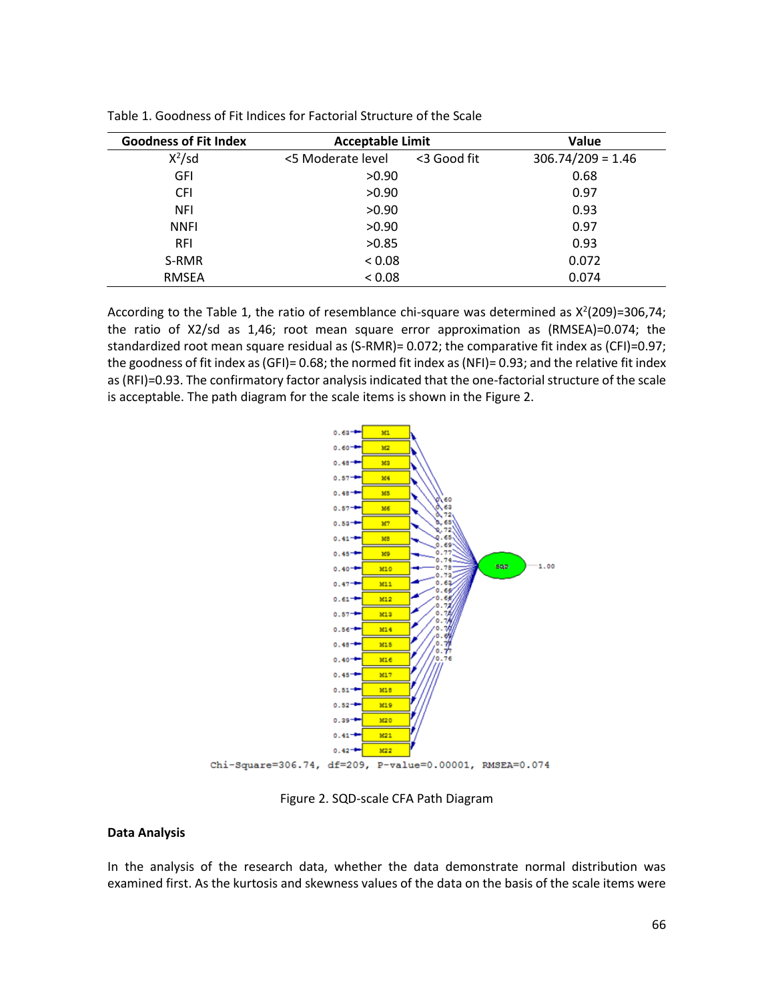| <b>Goodness of Fit Index</b> | <b>Acceptable Limit</b> | Value       |                     |  |
|------------------------------|-------------------------|-------------|---------------------|--|
| $X^2$ /sd                    | <5 Moderate level       | <3 Good fit | $306.74/209 = 1.46$ |  |
| GFI                          | >0.90                   |             | 0.68                |  |
| <b>CFI</b>                   | >0.90                   |             | 0.97                |  |
| <b>NFI</b>                   | >0.90                   |             | 0.93                |  |
| <b>NNFI</b>                  | >0.90                   |             | 0.97                |  |
| <b>RFI</b>                   | >0.85                   |             | 0.93                |  |
| S-RMR                        | < 0.08                  |             | 0.072               |  |
| <b>RMSEA</b>                 | < 0.08                  | 0.074       |                     |  |

Table 1. Goodness of Fit Indices for Factorial Structure of the Scale

According to the Table 1, the ratio of resemblance chi-square was determined as  $X^2(209)=306,74;$ the ratio of X2/sd as 1,46; root mean square error approximation as (RMSEA)=0.074; the standardized root mean square residual as (S-RMR)= 0.072; the comparative fit index as (CFI)=0.97; the goodness of fit index as (GFI)= 0.68; the normed fit index as (NFI)= 0.93; and the relative fit index as (RFI)=0.93. The confirmatory factor analysis indicated that the one-factorial structure of the scale is acceptable. The path diagram for the scale items is shown in the Figure 2.



Figure 2. SQD-scale CFA Path Diagram

### **Data Analysis**

In the analysis of the research data, whether the data demonstrate normal distribution was examined first. As the kurtosis and skewness values of the data on the basis of the scale items were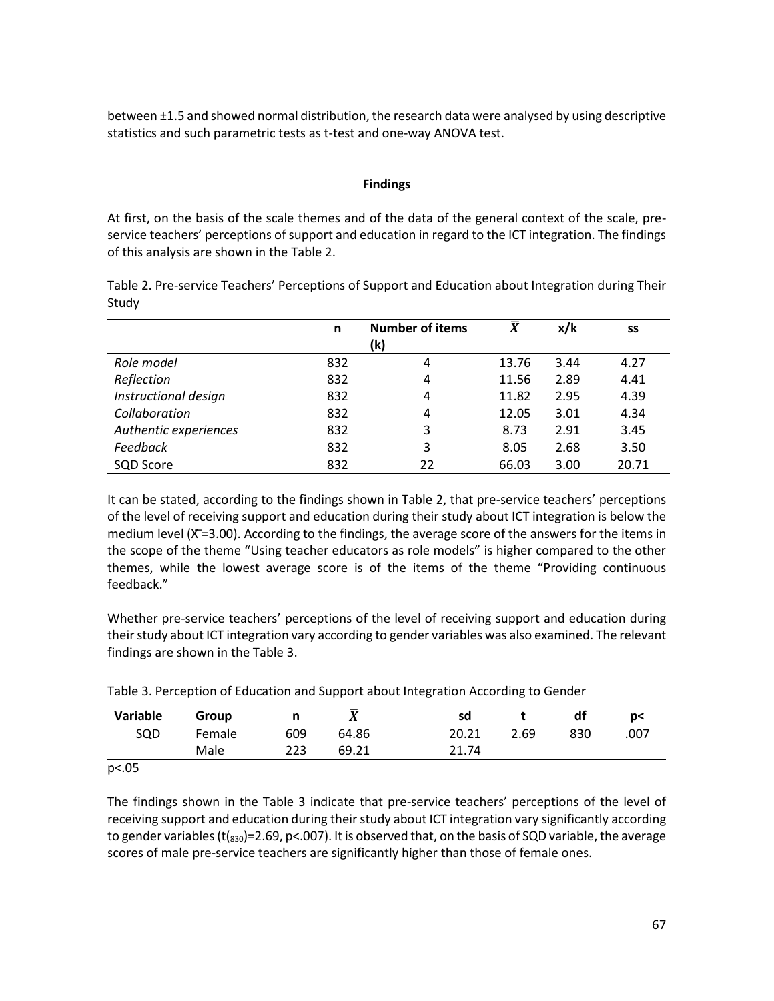between ±1.5 and showed normal distribution, the research data were analysed by using descriptive statistics and such parametric tests as t-test and one-way ANOVA test.

## **Findings**

At first, on the basis of the scale themes and of the data of the general context of the scale, preservice teachers' perceptions of support and education in regard to the ICT integration. The findings of this analysis are shown in the Table 2.

Table 2. Pre-service Teachers' Perceptions of Support and Education about Integration during Their Study

|                       | n   | <b>Number of items</b> | $\overline{X}$ | x/k  | SS    |
|-----------------------|-----|------------------------|----------------|------|-------|
|                       |     | (k)                    |                |      |       |
| Role model            | 832 | 4                      | 13.76          | 3.44 | 4.27  |
| Reflection            | 832 | 4                      | 11.56          | 2.89 | 4.41  |
| Instructional design  | 832 | 4                      | 11.82          | 2.95 | 4.39  |
| Collaboration         | 832 | 4                      | 12.05          | 3.01 | 4.34  |
| Authentic experiences | 832 | 3                      | 8.73           | 2.91 | 3.45  |
| Feedback              | 832 | 3                      | 8.05           | 2.68 | 3.50  |
| SQD Score             | 832 | 22                     | 66.03          | 3.00 | 20.71 |

It can be stated, according to the findings shown in Table 2, that pre-service teachers' perceptions of the level of receiving support and education during their study about ICT integration is below the medium level (X=3.00). According to the findings, the average score of the answers for the items in the scope of the theme "Using teacher educators as role models" is higher compared to the other themes, while the lowest average score is of the items of the theme "Providing continuous feedback."

Whether pre-service teachers' perceptions of the level of receiving support and education during their study about ICT integration vary according to gender variables was also examined. The relevant findings are shown in the Table 3.

| Variable | Group  |     |       | sd    |      | df  | ŋ<   |
|----------|--------|-----|-------|-------|------|-----|------|
| SQD      | Female | 609 | 64.86 | 20.21 | 2.69 | 830 | .007 |
|          | Male   | 223 | 69.21 | 21.74 |      |     |      |

Table 3. Perception of Education and Support about Integration According to Gender

p<.05

The findings shown in the Table 3 indicate that pre-service teachers' perceptions of the level of receiving support and education during their study about ICT integration vary significantly according to gender variables ( $t$ ( $_{830}$ )=2.69, p<.007). It is observed that, on the basis of SQD variable, the average scores of male pre-service teachers are significantly higher than those of female ones.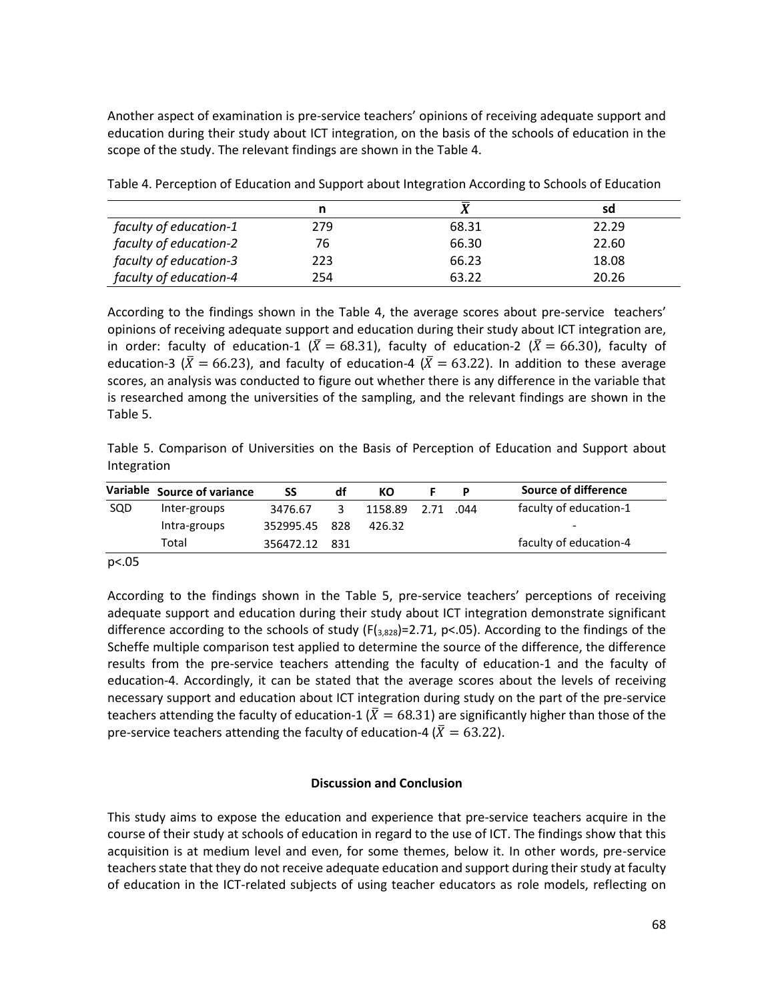Another aspect of examination is pre-service teachers' opinions of receiving adequate support and education during their study about ICT integration, on the basis of the schools of education in the scope of the study. The relevant findings are shown in the Table 4.

|                        | n   | $\mathbf v$ | sd    |
|------------------------|-----|-------------|-------|
| faculty of education-1 | 279 | 68.31       | 22.29 |
| faculty of education-2 | 76  | 66.30       | 22.60 |
| faculty of education-3 | 223 | 66.23       | 18.08 |
| faculty of education-4 | 254 | 63.22       | 20.26 |

Table 4. Perception of Education and Support about Integration According to Schools of Education

According to the findings shown in the Table 4, the average scores about pre-service teachers' opinions of receiving adequate support and education during their study about ICT integration are, in order: faculty of education-1 ( $\overline{X} = 68.31$ ), faculty of education-2 ( $\overline{X} = 66.30$ ), faculty of education-3 ( $\bar{X}$  = 66.23), and faculty of education-4 ( $\bar{X}$  = 63.22). In addition to these average scores, an analysis was conducted to figure out whether there is any difference in the variable that is researched among the universities of the sampling, and the relevant findings are shown in the Table 5.

Table 5. Comparison of Universities on the Basis of Perception of Education and Support about Integration

|     | Variable Source of variance | SS            | df | КO                | P | Source of difference   |
|-----|-----------------------------|---------------|----|-------------------|---|------------------------|
| SQD | Inter-groups                | 3476.67       | ર  | 1158.89 2.71 .044 |   | faculty of education-1 |
|     | Intra-groups                | 352995.45 828 |    | 426.32            |   | -                      |
|     | Total                       | 356472.12 831 |    |                   |   | faculty of education-4 |

p<.05

According to the findings shown in the Table 5, pre-service teachers' perceptions of receiving adequate support and education during their study about ICT integration demonstrate significant difference according to the schools of study ( $F(3,828)$ =2.71, p<.05). According to the findings of the Scheffe multiple comparison test applied to determine the source of the difference, the difference results from the pre-service teachers attending the faculty of education-1 and the faculty of education-4. Accordingly, it can be stated that the average scores about the levels of receiving necessary support and education about ICT integration during study on the part of the pre-service teachers attending the faculty of education-1 ( $\overline{X}$  = 68.31) are significantly higher than those of the pre-service teachers attending the faculty of education-4 ( $\bar{X} = 63.22$ ).

# **Discussion and Conclusion**

This study aims to expose the education and experience that pre-service teachers acquire in the course of their study at schools of education in regard to the use of ICT. The findings show that this acquisition is at medium level and even, for some themes, below it. In other words, pre-service teachers state that they do not receive adequate education and support during their study at faculty of education in the ICT-related subjects of using teacher educators as role models, reflecting on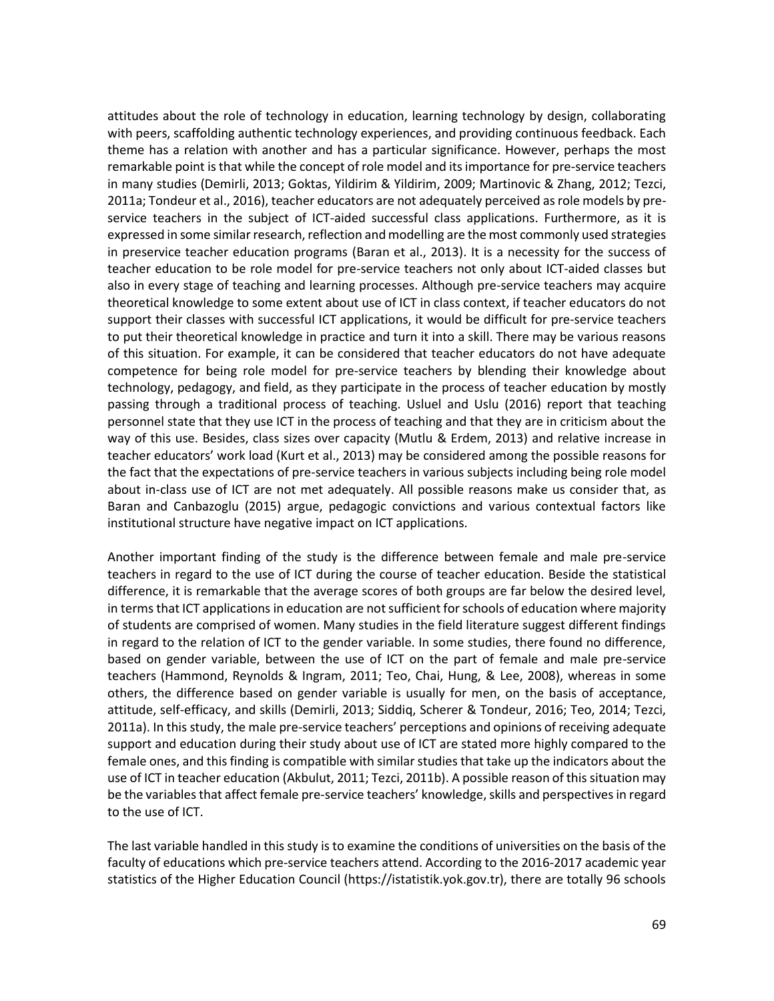attitudes about the role of technology in education, learning technology by design, collaborating with peers, scaffolding authentic technology experiences, and providing continuous feedback. Each theme has a relation with another and has a particular significance. However, perhaps the most remarkable point is that while the concept of role model and its importance for pre-service teachers in many studies (Demirli, 2013; Goktas, Yildirim & Yildirim, 2009; Martinovic & Zhang, 2012; Tezci, 2011a; Tondeur et al., 2016), teacher educators are not adequately perceived as role models by preservice teachers in the subject of ICT-aided successful class applications. Furthermore, as it is expressed in some similar research, reflection and modelling are the most commonly used strategies in preservice teacher education programs (Baran et al., 2013). It is a necessity for the success of teacher education to be role model for pre-service teachers not only about ICT-aided classes but also in every stage of teaching and learning processes. Although pre-service teachers may acquire theoretical knowledge to some extent about use of ICT in class context, if teacher educators do not support their classes with successful ICT applications, it would be difficult for pre-service teachers to put their theoretical knowledge in practice and turn it into a skill. There may be various reasons of this situation. For example, it can be considered that teacher educators do not have adequate competence for being role model for pre-service teachers by blending their knowledge about technology, pedagogy, and field, as they participate in the process of teacher education by mostly passing through a traditional process of teaching. Usluel and Uslu (2016) report that teaching personnel state that they use ICT in the process of teaching and that they are in criticism about the way of this use. Besides, class sizes over capacity (Mutlu & Erdem, 2013) and relative increase in teacher educators' work load (Kurt et al., 2013) may be considered among the possible reasons for the fact that the expectations of pre-service teachers in various subjects including being role model about in-class use of ICT are not met adequately. All possible reasons make us consider that, as Baran and Canbazoglu (2015) argue, pedagogic convictions and various contextual factors like institutional structure have negative impact on ICT applications.

Another important finding of the study is the difference between female and male pre-service teachers in regard to the use of ICT during the course of teacher education. Beside the statistical difference, it is remarkable that the average scores of both groups are far below the desired level, in terms that ICT applications in education are not sufficient forschools of education where majority of students are comprised of women. Many studies in the field literature suggest different findings in regard to the relation of ICT to the gender variable. In some studies, there found no difference, based on gender variable, between the use of ICT on the part of female and male pre-service teachers (Hammond, Reynolds & Ingram, 2011; Teo, Chai, Hung, & Lee, 2008), whereas in some others, the difference based on gender variable is usually for men, on the basis of acceptance, attitude, self-efficacy, and skills (Demirli, 2013; Siddiq, Scherer & Tondeur, 2016; Teo, 2014; Tezci, 2011a). In this study, the male pre-service teachers' perceptions and opinions of receiving adequate support and education during their study about use of ICT are stated more highly compared to the female ones, and this finding is compatible with similar studies that take up the indicators about the use of ICT in teacher education (Akbulut, 2011; Tezci, 2011b). A possible reason of this situation may be the variables that affect female pre-service teachers' knowledge, skills and perspectives in regard to the use of ICT.

The last variable handled in this study is to examine the conditions of universities on the basis of the faculty of educations which pre-service teachers attend. According to the 2016-2017 academic year statistics of the Higher Education Council (https://istatistik.yok.gov.tr), there are totally 96 schools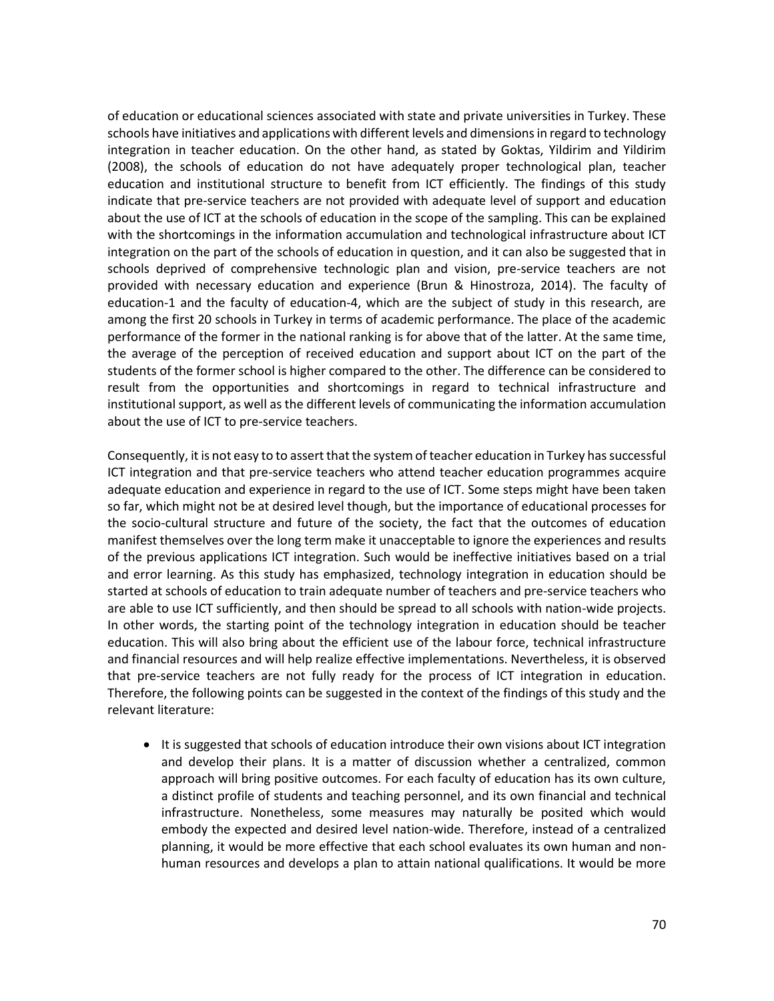of education or educational sciences associated with state and private universities in Turkey. These schools have initiatives and applications with different levels and dimensions in regard to technology integration in teacher education. On the other hand, as stated by Goktas, Yildirim and Yildirim (2008), the schools of education do not have adequately proper technological plan, teacher education and institutional structure to benefit from ICT efficiently. The findings of this study indicate that pre-service teachers are not provided with adequate level of support and education about the use of ICT at the schools of education in the scope of the sampling. This can be explained with the shortcomings in the information accumulation and technological infrastructure about ICT integration on the part of the schools of education in question, and it can also be suggested that in schools deprived of comprehensive technologic plan and vision, pre-service teachers are not provided with necessary education and experience (Brun & Hinostroza, 2014). The faculty of education-1 and the faculty of education-4, which are the subject of study in this research, are among the first 20 schools in Turkey in terms of academic performance. The place of the academic performance of the former in the national ranking is for above that of the latter. At the same time, the average of the perception of received education and support about ICT on the part of the students of the former school is higher compared to the other. The difference can be considered to result from the opportunities and shortcomings in regard to technical infrastructure and institutional support, as well as the different levels of communicating the information accumulation about the use of ICT to pre-service teachers.

Consequently, it is not easy to to assert that the system of teacher education in Turkey has successful ICT integration and that pre-service teachers who attend teacher education programmes acquire adequate education and experience in regard to the use of ICT. Some steps might have been taken so far, which might not be at desired level though, but the importance of educational processes for the socio-cultural structure and future of the society, the fact that the outcomes of education manifest themselves over the long term make it unacceptable to ignore the experiences and results of the previous applications ICT integration. Such would be ineffective initiatives based on a trial and error learning. As this study has emphasized, technology integration in education should be started at schools of education to train adequate number of teachers and pre-service teachers who are able to use ICT sufficiently, and then should be spread to all schools with nation-wide projects. In other words, the starting point of the technology integration in education should be teacher education. This will also bring about the efficient use of the labour force, technical infrastructure and financial resources and will help realize effective implementations. Nevertheless, it is observed that pre-service teachers are not fully ready for the process of ICT integration in education. Therefore, the following points can be suggested in the context of the findings of this study and the relevant literature:

• It is suggested that schools of education introduce their own visions about ICT integration and develop their plans. It is a matter of discussion whether a centralized, common approach will bring positive outcomes. For each faculty of education has its own culture, a distinct profile of students and teaching personnel, and its own financial and technical infrastructure. Nonetheless, some measures may naturally be posited which would embody the expected and desired level nation-wide. Therefore, instead of a centralized planning, it would be more effective that each school evaluates its own human and nonhuman resources and develops a plan to attain national qualifications. It would be more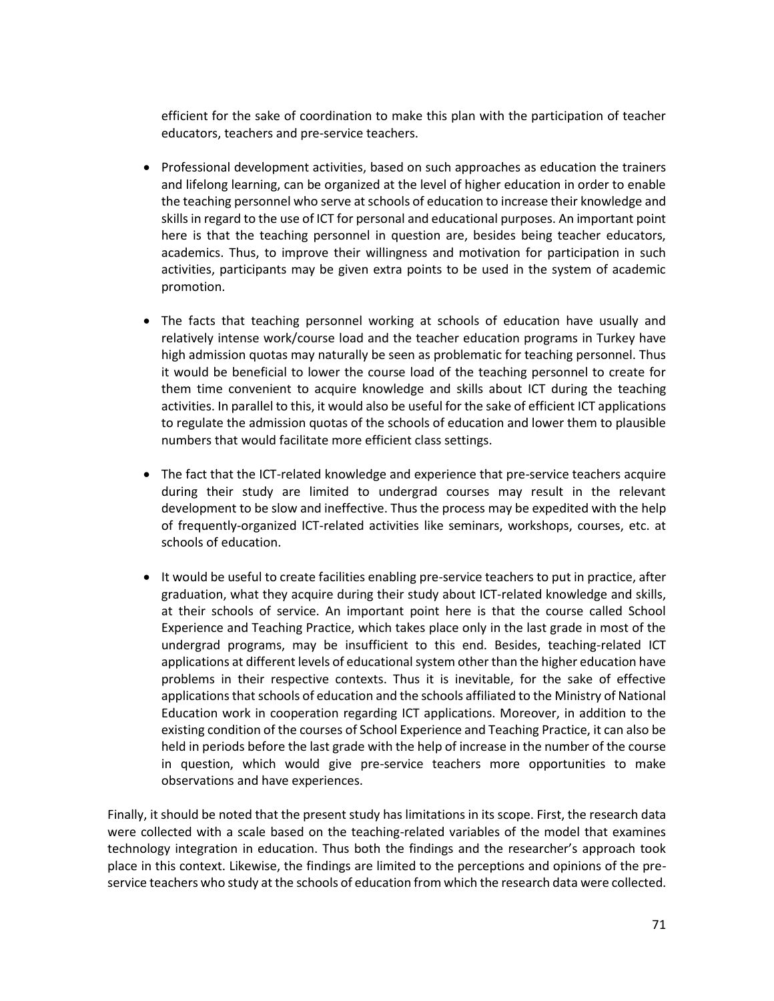efficient for the sake of coordination to make this plan with the participation of teacher educators, teachers and pre-service teachers.

- Professional development activities, based on such approaches as education the trainers and lifelong learning, can be organized at the level of higher education in order to enable the teaching personnel who serve at schools of education to increase their knowledge and skills in regard to the use of ICT for personal and educational purposes. An important point here is that the teaching personnel in question are, besides being teacher educators, academics. Thus, to improve their willingness and motivation for participation in such activities, participants may be given extra points to be used in the system of academic promotion.
- The facts that teaching personnel working at schools of education have usually and relatively intense work/course load and the teacher education programs in Turkey have high admission quotas may naturally be seen as problematic for teaching personnel. Thus it would be beneficial to lower the course load of the teaching personnel to create for them time convenient to acquire knowledge and skills about ICT during the teaching activities. In parallel to this, it would also be useful for the sake of efficient ICT applications to regulate the admission quotas of the schools of education and lower them to plausible numbers that would facilitate more efficient class settings.
- The fact that the ICT-related knowledge and experience that pre-service teachers acquire during their study are limited to undergrad courses may result in the relevant development to be slow and ineffective. Thus the process may be expedited with the help of frequently-organized ICT-related activities like seminars, workshops, courses, etc. at schools of education.
- It would be useful to create facilities enabling pre-service teachers to put in practice, after graduation, what they acquire during their study about ICT-related knowledge and skills, at their schools of service. An important point here is that the course called School Experience and Teaching Practice, which takes place only in the last grade in most of the undergrad programs, may be insufficient to this end. Besides, teaching-related ICT applications at different levels of educational system other than the higher education have problems in their respective contexts. Thus it is inevitable, for the sake of effective applications that schools of education and the schools affiliated to the Ministry of National Education work in cooperation regarding ICT applications. Moreover, in addition to the existing condition of the courses of School Experience and Teaching Practice, it can also be held in periods before the last grade with the help of increase in the number of the course in question, which would give pre-service teachers more opportunities to make observations and have experiences.

Finally, it should be noted that the present study has limitations in its scope. First, the research data were collected with a scale based on the teaching-related variables of the model that examines technology integration in education. Thus both the findings and the researcher's approach took place in this context. Likewise, the findings are limited to the perceptions and opinions of the preservice teachers who study at the schools of education from which the research data were collected.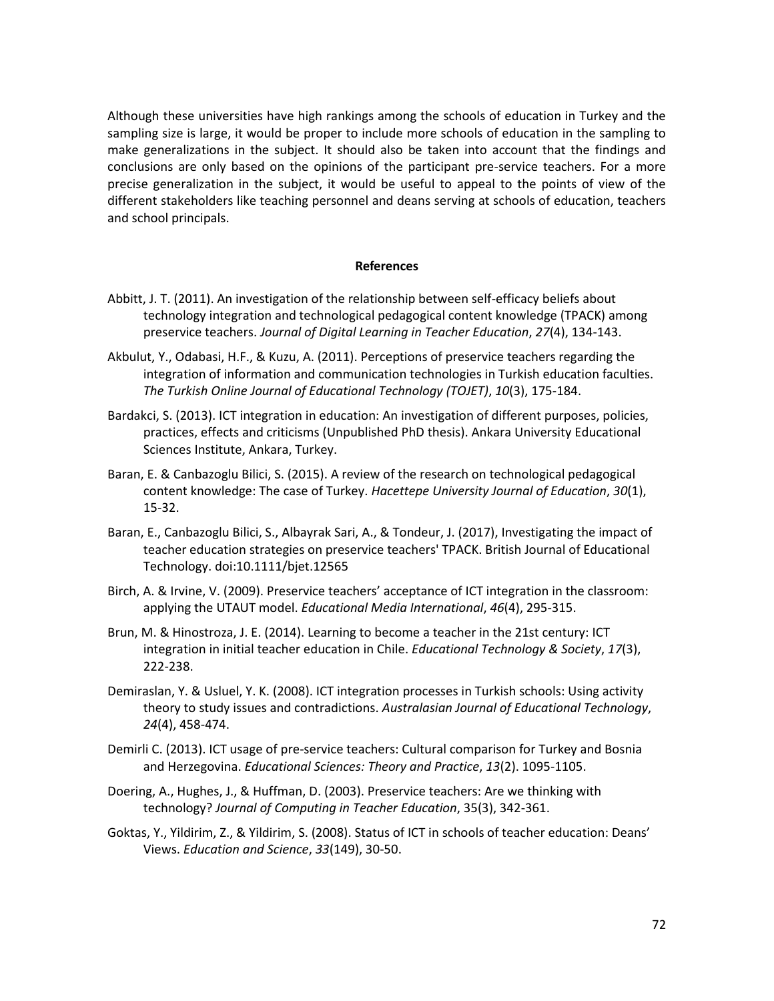Although these universities have high rankings among the schools of education in Turkey and the sampling size is large, it would be proper to include more schools of education in the sampling to make generalizations in the subject. It should also be taken into account that the findings and conclusions are only based on the opinions of the participant pre-service teachers. For a more precise generalization in the subject, it would be useful to appeal to the points of view of the different stakeholders like teaching personnel and deans serving at schools of education, teachers and school principals.

#### **References**

- Abbitt, J. T. (2011). An investigation of the relationship between self-efficacy beliefs about technology integration and technological pedagogical content knowledge (TPACK) among preservice teachers. *Journal of Digital Learning in Teacher Education*, *27*(4), 134-143.
- Akbulut, Y., Odabasi, H.F., & Kuzu, A. (2011). Perceptions of preservice teachers regarding the integration of information and communication technologies in Turkish education faculties. *The Turkish Online Journal of Educational Technology (TOJET)*, *10*(3), 175-184.
- Bardakci, S. (2013). ICT integration in education: An investigation of different purposes, policies, practices, effects and criticisms (Unpublished PhD thesis). Ankara University Educational Sciences Institute, Ankara, Turkey.
- Baran, E. & Canbazoglu Bilici, S. (2015). A review of the research on technological pedagogical content knowledge: The case of Turkey. *Hacettepe University Journal of Education*, *30*(1), 15-32.
- Baran, E., Canbazoglu Bilici, S., Albayrak Sari, A., & Tondeur, J. (2017), Investigating the impact of teacher education strategies on preservice teachers' TPACK. British Journal of Educational Technology. doi:10.1111/bjet.12565
- Birch, A. & Irvine, V. (2009). Preservice teachers' acceptance of ICT integration in the classroom: applying the UTAUT model. *Educational Media International*, *46*(4), 295-315.
- Brun, M. & Hinostroza, J. E. (2014). Learning to become a teacher in the 21st century: ICT integration in initial teacher education in Chile. *Educational Technology & Society*, *17*(3), 222-238.
- Demiraslan, Y. & Usluel, Y. K. (2008). ICT integration processes in Turkish schools: Using activity theory to study issues and contradictions. *Australasian Journal of Educational Technology*, *24*(4), 458-474.
- Demirli C. (2013). ICT usage of pre-service teachers: Cultural comparison for Turkey and Bosnia and Herzegovina. *Educational Sciences: Theory and Practice*, *13*(2). 1095-1105.
- Doering, A., Hughes, J., & Huffman, D. (2003). Preservice teachers: Are we thinking with technology? *Journal of Computing in Teacher Education*, 35(3), 342-361.
- Goktas, Y., Yildirim, Z., & Yildirim, S. (2008). Status of ICT in schools of teacher education: Deans' Views. *Education and Science*, *33*(149), 30-50.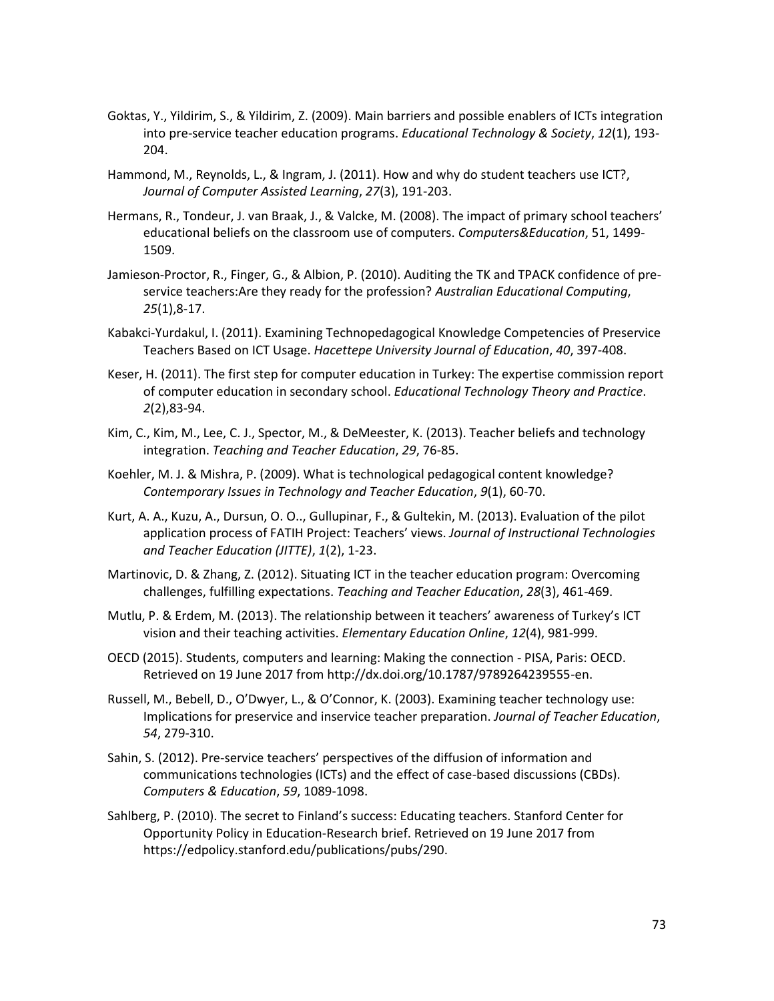- Goktas, Y., Yildirim, S., & Yildirim, Z. (2009). Main barriers and possible enablers of ICTs integration into pre-service teacher education programs. *Educational Technology & Society*, *12*(1), 193- 204.
- Hammond, M., Reynolds, L., & Ingram, J. (2011). How and why do student teachers use ICT?, *Journal of Computer Assisted Learning*, *27*(3), 191-203.
- Hermans, R., Tondeur, J. van Braak, J., & Valcke, M. (2008). The impact of primary school teachers' educational beliefs on the classroom use of computers. *Computers&Education*, 51, 1499- 1509.
- Jamieson-Proctor, R., Finger, G., & Albion, P. (2010). Auditing the TK and TPACK confidence of preservice teachers:Are they ready for the profession? *Australian Educational Computing*, *25*(1),8-17.
- Kabakci-Yurdakul, I. (2011). Examining Technopedagogical Knowledge Competencies of Preservice Teachers Based on ICT Usage. *Hacettepe University Journal of Education*, *40*, 397-408.
- Keser, H. (2011). The first step for computer education in Turkey: The expertise commission report of computer education in secondary school. *Educational Technology Theory and Practice*. *2*(2),83-94.
- Kim, C., Kim, M., Lee, C. J., Spector, M., & DeMeester, K. (2013). Teacher beliefs and technology integration. *Teaching and Teacher Education*, *29*, 76-85.
- Koehler, M. J. & Mishra, P. (2009). What is technological pedagogical content knowledge? *Contemporary Issues in Technology and Teacher Education*, *9*(1), 60-70.
- Kurt, A. A., Kuzu, A., Dursun, O. O.., Gullupinar, F., & Gultekin, M. (2013). Evaluation of the pilot application process of FATIH Project: Teachers' views. *Journal of Instructional Technologies and Teacher Education (JITTE)*, *1*(2), 1-23.
- Martinovic, D. & Zhang, Z. (2012). Situating ICT in the teacher education program: Overcoming challenges, fulfilling expectations. *Teaching and Teacher Education*, *28*(3), 461-469.
- Mutlu, P. & Erdem, M. (2013). The relationship between it teachers' awareness of Turkey's ICT vision and their teaching activities. *Elementary Education Online*, *12*(4), 981-999.
- OECD (2015). Students, computers and learning: Making the connection PISA, Paris: OECD. Retrieved on 19 June 2017 from http://dx.doi.org/10.1787/9789264239555-en.
- Russell, M., Bebell, D., O'Dwyer, L., & O'Connor, K. (2003). Examining teacher technology use: Implications for preservice and inservice teacher preparation. *Journal of Teacher Education*, *54*, 279-310.
- Sahin, S. (2012). Pre-service teachers' perspectives of the diffusion of information and communications technologies (ICTs) and the effect of case-based discussions (CBDs). *Computers & Education*, *59*, 1089-1098.
- Sahlberg, P. (2010). The secret to Finland's success: Educating teachers. Stanford Center for Opportunity Policy in Education-Research brief. Retrieved on 19 June 2017 from https://edpolicy.stanford.edu/publications/pubs/290.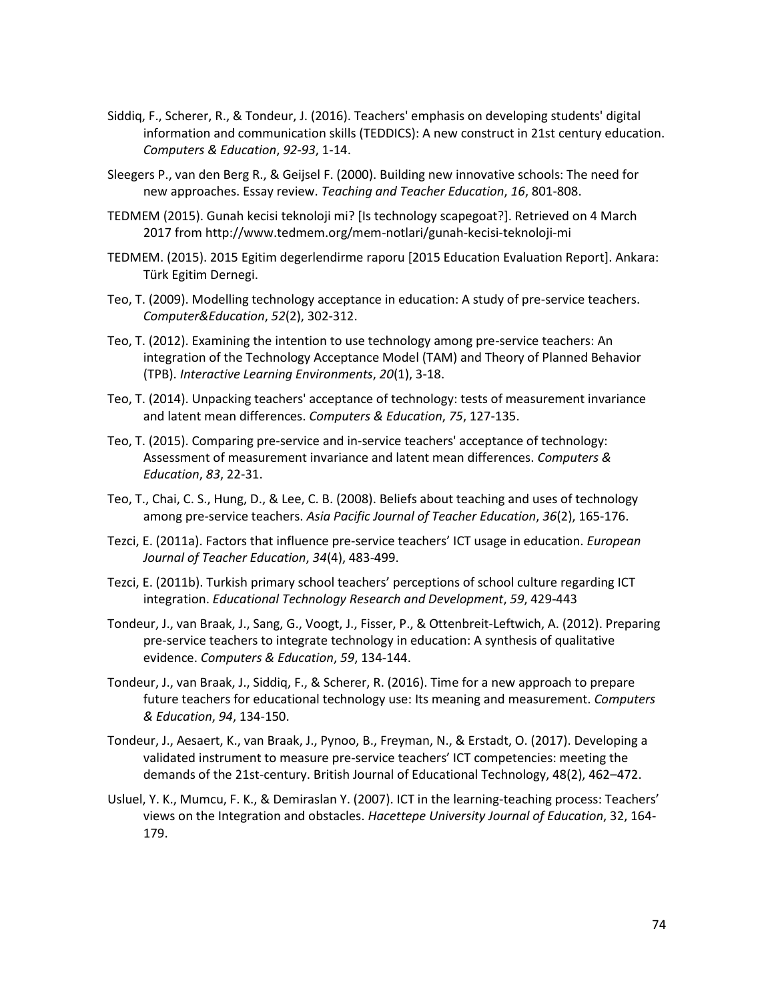- Siddiq, F., Scherer, R., & Tondeur, J. (2016). Teachers' emphasis on developing students' digital information and communication skills (TEDDICS): A new construct in 21st century education. *Computers & Education*, *92-93*, 1-14.
- Sleegers P., van den Berg R., & Geijsel F. (2000). Building new innovative schools: The need for new approaches. Essay review. *Teaching and Teacher Education*, *16*, 801-808.
- TEDMEM (2015). Gunah kecisi teknoloji mi? [Is technology scapegoat?]. Retrieved on 4 March 2017 from http://www.tedmem.org/mem-notlari/gunah-kecisi-teknoloji-mi
- TEDMEM. (2015). 2015 Egitim degerlendirme raporu [2015 Education Evaluation Report]. Ankara: Türk Egitim Dernegi.
- Teo, T. (2009). Modelling technology acceptance in education: A study of pre-service teachers. *Computer&Education*, *52*(2), 302-312.
- Teo, T. (2012). Examining the intention to use technology among pre-service teachers: An integration of the Technology Acceptance Model (TAM) and Theory of Planned Behavior (TPB). *Interactive Learning Environments*, *20*(1), 3-18.
- Teo, T. (2014). Unpacking teachers' acceptance of technology: tests of measurement invariance and latent mean differences. *Computers & Education*, *75*, 127-135.
- Teo, T. (2015). Comparing pre-service and in-service teachers' acceptance of technology: Assessment of measurement invariance and latent mean differences. *Computers & Education*, *83*, 22-31.
- Teo, T., Chai, C. S., Hung, D., & Lee, C. B. (2008). Beliefs about teaching and uses of technology among pre-service teachers. *Asia Pacific Journal of Teacher Education*, *36*(2), 165-176.
- Tezci, E. (2011a). Factors that influence pre-service teachers' ICT usage in education. *European Journal of Teacher Education*, *34*(4), 483-499.
- Tezci, E. (2011b). Turkish primary school teachers' perceptions of school culture regarding ICT integration. *Educational Technology Research and Development*, *59*, 429-443
- Tondeur, J., van Braak, J., Sang, G., Voogt, J., Fisser, P., & Ottenbreit-Leftwich, A. (2012). Preparing pre-service teachers to integrate technology in education: A synthesis of qualitative evidence. *Computers & Education*, *59*, 134-144.
- Tondeur, J., van Braak, J., Siddiq, F., & Scherer, R. (2016). Time for a new approach to prepare future teachers for educational technology use: Its meaning and measurement. *Computers & Education*, *94*, 134-150.
- Tondeur, J., Aesaert, K., van Braak, J., Pynoo, B., Freyman, N., & Erstadt, O. (2017). Developing a validated instrument to measure pre-service teachers' ICT competencies: meeting the demands of the 21st-century. British Journal of Educational Technology, 48(2), 462–472.
- Usluel, Y. K., Mumcu, F. K., & Demiraslan Y. (2007). ICT in the learning-teaching process: Teachers' views on the Integration and obstacles. *Hacettepe University Journal of Education*, 32, 164- 179.